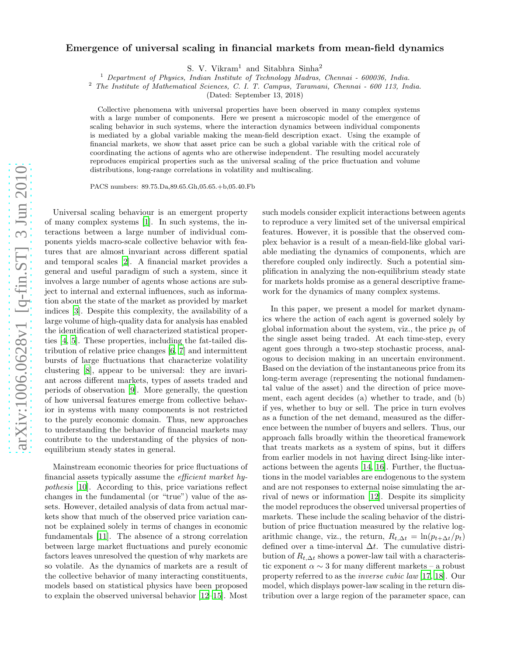## arXiv:1006.0628v1 [q-fin.ST] 3 Jun 2010 [arXiv:1006.0628v1 \[q-fin.ST\] 3 Jun 2010](http://arxiv.org/abs/1006.0628v1)

## Emergence of universal scaling in financial markets from mean-field dynamics

S. V. Vikram<sup>1</sup> and Sitabhra Sinha<sup>2</sup>

 $1$  Department of Physics, Indian Institute of Technology Madras, Chennai - 600036, India.

<sup>2</sup> The Institute of Mathematical Sciences, C. I. T. Campus, Taramani, Chennai - 600 113, India.

(Dated: September 13, 2018)

Collective phenomena with universal properties have been observed in many complex systems with a large number of components. Here we present a microscopic model of the emergence of scaling behavior in such systems, where the interaction dynamics between individual components is mediated by a global variable making the mean-field description exact. Using the example of financial markets, we show that asset price can be such a global variable with the critical role of coordinating the actions of agents who are otherwise independent. The resulting model accurately reproduces empirical properties such as the universal scaling of the price fluctuation and volume distributions, long-range correlations in volatility and multiscaling.

PACS numbers: 89.75.Da,89.65.Gh,05.65.+b,05.40.Fb

Universal scaling behaviour is an emergent property of many complex systems [\[1\]](#page-3-0). In such systems, the interactions between a large number of individual components yields macro-scale collective behavior with features that are almost invariant across different spatial and temporal scales [\[2\]](#page-3-1). A financial market provides a general and useful paradigm of such a system, since it involves a large number of agents whose actions are subject to internal and external influences, such as information about the state of the market as provided by market indices [\[3\]](#page-3-2). Despite this complexity, the availability of a large volume of high-quality data for analysis has enabled the identification of well characterized statistical properties [\[4](#page-3-3), [5](#page-3-4)]. These properties, including the fat-tailed distribution of relative price changes [\[6,](#page-3-5) [7\]](#page-3-6) and intermittent bursts of large fluctuations that characterize volatility clustering [\[8](#page-3-7)], appear to be universal: they are invariant across different markets, types of assets traded and periods of observation [\[9](#page-3-8)]. More generally, the question of how universal features emerge from collective behavior in systems with many components is not restricted to the purely economic domain. Thus, new approaches to understanding the behavior of financial markets may contribute to the understanding of the physics of nonequilibrium steady states in general.

Mainstream economic theories for price fluctuations of financial assets typically assume the efficient market hypothesis [\[10\]](#page-3-9). According to this, price variations reflect changes in the fundamental (or "true") value of the assets. However, detailed analysis of data from actual markets show that much of the observed price variation cannot be explained solely in terms of changes in economic fundamentals [\[11\]](#page-3-10). The absence of a strong correlation between large market fluctuations and purely economic factors leaves unresolved the question of why markets are so volatile. As the dynamics of markets are a result of the collective behavior of many interacting constituents, models based on statistical physics have been proposed to explain the observed universal behavior [\[12](#page-3-11)[–15](#page-3-12)]. Most

such models consider explicit interactions between agents to reproduce a very limited set of the universal empirical features. However, it is possible that the observed complex behavior is a result of a mean-field-like global variable mediating the dynamics of components, which are therefore coupled only indirectly. Such a potential simplification in analyzing the non-equilibrium steady state for markets holds promise as a general descriptive framework for the dynamics of many complex systems.

In this paper, we present a model for market dynamics where the action of each agent is governed solely by global information about the system, viz., the price  $p_t$  of the single asset being traded. At each time-step, every agent goes through a two-step stochastic process, analogous to decision making in an uncertain environment. Based on the deviation of the instantaneous price from its long-term average (representing the notional fundamental value of the asset) and the direction of price movement, each agent decides (a) whether to trade, and (b) if yes, whether to buy or sell. The price in turn evolves as a function of the net demand, measured as the difference between the number of buyers and sellers. Thus, our approach falls broadly within the theoretical framework that treats markets as a system of spins, but it differs from earlier models in not having direct Ising-like interactions between the agents [\[14](#page-3-13), [16\]](#page-3-14). Further, the fluctuations in the model variables are endogenous to the system and are not responses to external noise simulating the arrival of news or information [\[12](#page-3-11)]. Despite its simplicity the model reproduces the observed universal properties of markets. These include the scaling behavior of the distribution of price fluctuation measured by the relative logarithmic change, viz., the return,  $R_{t,\Delta t} = \ln(p_{t+\Delta t}/p_t)$ defined over a time-interval  $\Delta t$ . The cumulative distribution of  $R_{t,\Delta t}$  shows a power-law tail with a characteristic exponent  $\alpha \sim 3$  for many different markets – a robust property referred to as the inverse cubic law [\[17,](#page-3-15) [18](#page-4-0)]. Our model, which displays power-law scaling in the return distribution over a large region of the parameter space, can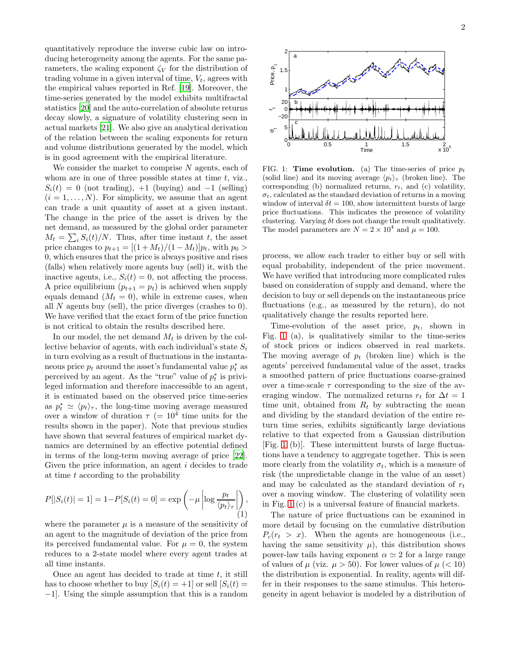quantitatively reproduce the inverse cubic law on introducing heterogeneity among the agents. For the same parameters, the scaling exponent  $\zeta_V$  for the distribution of trading volume in a given interval of time,  $V_t$ , agrees with the empirical values reported in Ref. [\[19\]](#page-4-1). Moreover, the time-series generated by the model exhibits multifractal statistics [\[20\]](#page-4-2) and the auto-correlation of absolute returns decay slowly, a signature of volatility clustering seen in actual markets [\[21\]](#page-4-3). We also give an analytical derivation of the relation between the scaling exponents for return and volume distributions generated by the model, which is in good agreement with the empirical literature.

We consider the market to comprise  $N$  agents, each of whom are in one of three possible states at time  $t$ , viz.,  $S_i(t) = 0$  (not trading), +1 (buying) and -1 (selling)  $(i = 1, \ldots, N)$ . For simplicity, we assume that an agent can trade a unit quantity of asset at a given instant. The change in the price of the asset is driven by the net demand, as measured by the global order parameter  $M_t = \sum_i S_i(t)/N$ . Thus, after time instant t, the asset price changes to  $p_{t+1} = [(1 + M_t)/(1 - M_t)]p_t$ , with  $p_0 >$ 0, which ensures that the price is always positive and rises (falls) when relatively more agents buy (sell) it, with the inactive agents, i.e.,  $S_i(t) = 0$ , not affecting the process. A price equilibrium  $(p_{t+1} = p_t)$  is achieved when supply equals demand  $(M_t = 0)$ , while in extreme cases, when all  $N$  agents buy (sell), the price diverges (crashes to 0). We have verified that the exact form of the price function is not critical to obtain the results described here.

In our model, the net demand  $M_t$  is driven by the collective behavior of agents, with each individual's state  $S_i$ in turn evolving as a result of fluctuations in the instantaneous price  $p_t$  around the asset's fundamental value  $p_t^*$  as perceived by an agent. As the "true" value of  $p_t^*$  is privileged information and therefore inaccessible to an agent, it is estimated based on the observed price time-series as  $p_t^* \simeq \langle p_t \rangle_\tau$ , the long-time moving average measured over a window of duration  $\tau$  (=  $10^4$  time units for the results shown in the paper). Note that previous studies have shown that several features of empirical market dynamics are determined by an effective potential defined in terms of the long-term moving average of price [\[22\]](#page-4-4). Given the price information, an agent *i* decides to trade at time t according to the probability

<span id="page-1-1"></span>
$$
P[|S_i(t)| = 1] = 1 - P[S_i(t) = 0] = \exp\left(-\mu \left|\log \frac{p_t}{\langle p_t \rangle_\tau}\right|\right),\tag{1}
$$

where the parameter  $\mu$  is a measure of the sensitivity of an agent to the magnitude of deviation of the price from its perceived fundamental value. For  $\mu = 0$ , the system reduces to a 2-state model where every agent trades at all time instants.

Once an agent has decided to trade at time  $t$ , it still has to choose whether to buy  $[S_i(t) = +1]$  or sell  $[S_i(t) =$ −1]. Using the simple assumption that this is a random



<span id="page-1-0"></span>FIG. 1: **Time evolution.** (a) The time-series of price  $p_t$ (solid line) and its moving average  $\langle p_t \rangle_\tau$  (broken line). The corresponding (b) normalized returns,  $r_t$ , and (c) volatility,  $\sigma_t$ , calculated as the standard deviation of returns in a moving window of interval  $\delta t = 100$ , show intermittent bursts of large price fluctuations. This indicates the presence of volatility clustering. Varying  $\delta t$  does not change the result qualitatively. The model parameters are  $N = 2 \times 10^4$  and  $\mu = 100$ .

process, we allow each trader to either buy or sell with equal probability, independent of the price movement. We have verified that introducing more complicated rules based on consideration of supply and demand, where the decision to buy or sell depends on the instantaneous price fluctuations (e.g., as measured by the return), do not qualitatively change the results reported here.

Time-evolution of the asset price,  $p_t$ , shown in Fig. [1](#page-1-0) (a), is qualitatively similar to the time-series of stock prices or indices observed in real markets. The moving average of  $p_t$  (broken line) which is the agents' perceived fundamental value of the asset, tracks a smoothed pattern of price fluctuations coarse-grained over a time-scale  $\tau$  corresponding to the size of the averaging window. The normalized returns  $r_t$  for  $\Delta t = 1$ time unit, obtained from  $R_t$  by subtracting the mean and dividing by the standard deviation of the entire return time series, exhibits significantly large deviations relative to that expected from a Gaussian distribution [Fig. [1](#page-1-0) (b)]. These intermittent bursts of large fluctuations have a tendency to aggregate together. This is seen more clearly from the volatility  $\sigma_t$ , which is a measure of risk (the unpredictable change in the value of an asset) and may be calculated as the standard deviation of  $r_t$ over a moving window. The clustering of volatility seen in Fig. [1](#page-1-0) (c) is a universal feature of financial markets.

The nature of price fluctuations can be examined in more detail by focusing on the cumulative distribution  $P_c(r_t > x)$ . When the agents are homogeneous (i.e., having the same sensitivity  $\mu$ ), this distribution shows power-law tails having exponent  $\alpha \simeq 2$  for a large range of values of  $\mu$  (viz.  $\mu > 50$ ). For lower values of  $\mu$  (< 10) the distribution is exponential. In reality, agents will differ in their responses to the same stimulus. This heterogeneity in agent behavior is modeled by a distribution of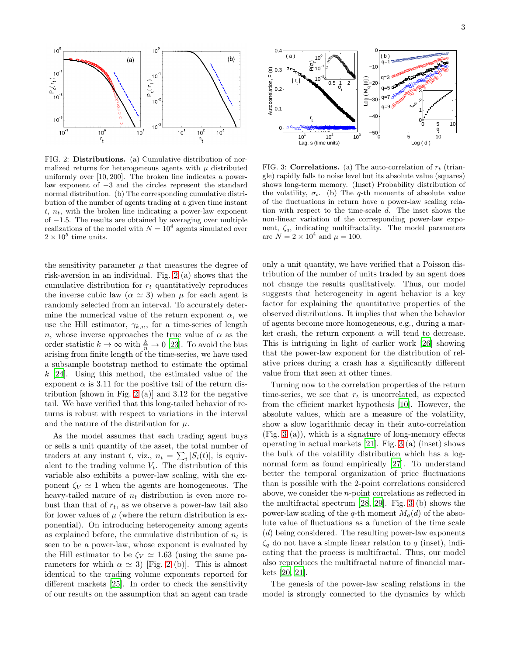

<span id="page-2-0"></span>FIG. 2: Distributions. (a) Cumulative distribution of normalized returns for heterogeneous agents with  $\mu$  distributed uniformly over [10, 200]. The broken line indicates a powerlaw exponent of −3 and the circles represent the standard normal distribution. (b) The corresponding cumulative distribution of the number of agents trading at a given time instant  $t, n_t$ , with the broken line indicating a power-law exponent of −1.5. The results are obtained by averaging over multiple realizations of the model with  $N = 10^4$  agents simulated over  $2 \times 10^5$  time units.

the sensitivity parameter  $\mu$  that measures the degree of risk-aversion in an individual. Fig. [2](#page-2-0) (a) shows that the cumulative distribution for  $r_t$  quantitatively reproduces the inverse cubic law ( $\alpha \simeq 3$ ) when  $\mu$  for each agent is randomly selected from an interval. To accurately determine the numerical value of the return exponent  $\alpha$ , we use the Hill estimator,  $\gamma_{k,n}$ , for a time-series of length n, whose inverse approaches the true value of  $\alpha$  as the order statistic  $k \to \infty$  with  $\frac{k}{n} \to 0$  [\[23\]](#page-4-5). To avoid the bias arising from finite length of the time-series, we have used a subsample bootstrap method to estimate the optimal  $k$  [\[24\]](#page-4-6). Using this method, the estimated value of the exponent  $\alpha$  is 3.11 for the positive tail of the return dis-tribution [shown in Fig. [2](#page-2-0) (a)] and 3.12 for the negative tail. We have verified that this long-tailed behavior of returns is robust with respect to variations in the interval and the nature of the distribution for  $\mu$ .

As the model assumes that each trading agent buys or sells a unit quantity of the asset, the total number of traders at any instant t, viz.,  $n_t = \sum_i |S_i(t)|$ , is equivalent to the trading volume  $V_t$ . The distribution of this variable also exhibits a power-law scaling, with the exponent  $\zeta_V \simeq 1$  when the agents are homogeneous. The heavy-tailed nature of  $n_t$  distribution is even more robust than that of  $r_t$ , as we observe a power-law tail also for lower values of  $\mu$  (where the return distribution is exponential). On introducing heterogeneity among agents as explained before, the cumulative distribution of  $n_t$  is seen to be a power-law, whose exponent is evaluated by the Hill estimator to be  $\zeta_V \simeq 1.63$  (using the same parameters for which  $\alpha \simeq 3$ ) [Fig. [2](#page-2-0) (b)]. This is almost identical to the trading volume exponents reported for different markets [\[25](#page-4-7)]. In order to check the sensitivity of our results on the assumption that an agent can trade



<span id="page-2-1"></span>FIG. 3: **Correlations.** (a) The auto-correlation of  $r_t$  (triangle) rapidly falls to noise level but its absolute value (squares) shows long-term memory. (Inset) Probability distribution of the volatility,  $\sigma_t$ . (b) The q-th moments of absolute value of the fluctuations in return have a power-law scaling relation with respect to the time-scale d. The inset shows the non-linear variation of the corresponding power-law exponent,  $\zeta_q$ , indicating multifractality. The model parameters are  $N = 2 \times 10^4$  and  $\mu = 100$ .

only a unit quantity, we have verified that a Poisson distribution of the number of units traded by an agent does not change the results qualitatively. Thus, our model suggests that heterogeneity in agent behavior is a key factor for explaining the quantitative properties of the observed distributions. It implies that when the behavior of agents become more homogeneous, e.g., during a market crash, the return exponent  $\alpha$  will tend to decrease. This is intriguing in light of earlier work [\[26\]](#page-4-8) showing that the power-law exponent for the distribution of relative prices during a crash has a significantly different value from that seen at other times.

Turning now to the correlation properties of the return time-series, we see that  $r_t$  is uncorrelated, as expected from the efficient market hypothesis [\[10\]](#page-3-9). However, the absolute values, which are a measure of the volatility, show a slow logarithmic decay in their auto-correlation (Fig. [3](#page-2-1) (a)), which is a signature of long-memory effects operating in actual markets [\[21](#page-4-3)]. Fig. [3](#page-2-1) (a) (inset) shows the bulk of the volatility distribution which has a lognormal form as found empirically [\[27](#page-4-9)]. To understand better the temporal organization of price fluctuations than is possible with the 2-point correlations considered above, we consider the n-point correlations as reflected in the multifractal spectrum [\[28,](#page-4-10) [29](#page-4-11)]. Fig. [3](#page-2-1) (b) shows the power-law scaling of the q-th moment  $M_q(d)$  of the absolute value of fluctuations as a function of the time scale (d) being considered. The resulting power-law exponents  $\zeta_q$  do not have a simple linear relation to q (inset), indicating that the process is multifractal. Thus, our model also reproduces the multifractal nature of financial markets [\[20](#page-4-2), [21](#page-4-3)].

The genesis of the power-law scaling relations in the model is strongly connected to the dynamics by which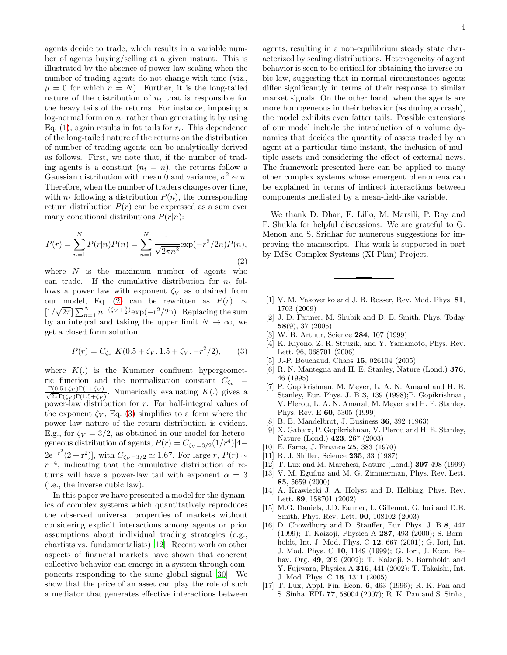agents decide to trade, which results in a variable number of agents buying/selling at a given instant. This is illustrated by the absence of power-law scaling when the number of trading agents do not change with time (viz.,  $\mu = 0$  for which  $n = N$ ). Further, it is the long-tailed nature of the distribution of  $n_t$  that is responsible for the heavy tails of the returns. For instance, imposing a log-normal form on  $n_t$  rather than generating it by using Eq. [\(1\)](#page-1-1), again results in fat tails for  $r_t$ . This dependence of the long-tailed nature of the returns on the distribution of number of trading agents can be analytically derived as follows. First, we note that, if the number of trading agents is a constant  $(n_t = n)$ , the returns follow a Gaussian distribution with mean 0 and variance,  $\sigma^2 \sim n$ . Therefore, when the number of traders changes over time, with  $n_t$  following a distribution  $P(n)$ , the corresponding return distribution  $P(r)$  can be expressed as a sum over many conditional distributions  $P(r|n)$ :

<span id="page-3-16"></span>
$$
P(r) = \sum_{n=1}^{N} P(r|n)P(n) = \sum_{n=1}^{N} \frac{1}{\sqrt{2\pi n^2}} \exp(-r^2/2n)P(n),
$$
\n(2)

where  $N$  is the maximum number of agents who can trade. If the cumulative distribution for  $n_t$  follows a power law with exponent  $\zeta_V$  as obtained from our <u>model</u>, Eq. [\(2\)](#page-3-16) can be rewritten as  $P(r) \sim$  $\left[1/\sqrt{2\pi}\right]\sum_{n=1}^{N}n^{-\left(\zeta_{V}+\frac{3}{2}\right)}\exp(-r^{2}/2n)$ . Replacing the sum by an integral and taking the upper limit  $N \to \infty$ , we get a closed form solution

<span id="page-3-17"></span>
$$
P(r) = C_{\zeta_v} K(0.5 + \zeta_V, 1.5 + \zeta_V, -r^2/2), \qquad (3)
$$

where  $K(.)$  is the Kummer confluent hypergeometric function and the normalization constant  $C_{\zeta_v}$  =  $\frac{\Gamma(0.5+\zeta_V)\Gamma(1+\zeta_V)}{\sqrt{2\pi}\Gamma(\zeta_V)\Gamma(1.5+\zeta_V)}$ . Numerically evaluating  $K(.)$  gives a power-law distribution for r. For half-integral values of the exponent  $\zeta_V$ , Eq. [\(3\)](#page-3-17) simplifies to a form where the power law nature of the return distribution is evident. E.g., for  $\zeta_V = 3/2$ , as obtained in our model for heterogeneous distribution of agents,  $P(r) = C_{\zeta_V = 3/2}(1/r^4)[4 2e^{-r^2}(2+r^2)$ , with  $C_{\zeta_V=3/2} \simeq 1.67$ . For large r,  $P(r) \sim$  $r^{-4}$ , indicating that the cumulative distribution of returns will have a power-law tail with exponent  $\alpha = 3$ (i.e., the inverse cubic law).

In this paper we have presented a model for the dynamics of complex systems which quantitatively reproduces the observed universal properties of markets without considering explicit interactions among agents or prior assumptions about individual trading strategies (e.g., chartists vs. fundamentalists) [\[12\]](#page-3-11). Recent work on other aspects of financial markets have shown that coherent collective behavior can emerge in a system through components responding to the same global signal [\[30\]](#page-4-12). We show that the price of an asset can play the role of such a mediator that generates effective interactions between agents, resulting in a non-equilibrium steady state characterized by scaling distributions. Heterogeneity of agent behavior is seen to be critical for obtaining the inverse cubic law, suggesting that in normal circumstances agents differ significantly in terms of their response to similar market signals. On the other hand, when the agents are more homogeneous in their behavior (as during a crash), the model exhibits even fatter tails. Possible extensions of our model include the introduction of a volume dynamics that decides the quantity of assets traded by an agent at a particular time instant, the inclusion of multiple assets and considering the effect of external news. The framework presented here can be applied to many other complex systems whose emergent phenomena can be explained in terms of indirect interactions between components mediated by a mean-field-like variable.

We thank D. Dhar, F. Lillo, M. Marsili, P. Ray and P. Shukla for helpful discussions. We are grateful to G. Menon and S. Sridhar for numerous suggestions for improving the manuscript. This work is supported in part by IMSc Complex Systems (XI Plan) Project.

- <span id="page-3-0"></span>[1] V. M. Yakovenko and J. B. Rosser, Rev. Mod. Phys. 81, 1703 (2009)
- <span id="page-3-1"></span>[2] J. D. Farmer, M. Shubik and D. E. Smith, Phys. Today 58(9), 37 (2005)
- <span id="page-3-2"></span>[3] W. B. Arthur, Science 284, 107 (1999)
- <span id="page-3-3"></span>[4] K. Kiyono, Z. R. Struzik, and Y. Yamamoto, Phys. Rev. Lett. 96, 068701 (2006)
- <span id="page-3-4"></span>[5] J.-P. Bouchaud, Chaos 15, 026104 (2005)
- <span id="page-3-5"></span>[6] R. N. Mantegna and H. E. Stanley, Nature (Lond.) 376, 46 (1995)
- <span id="page-3-6"></span>[7] P. Gopikrishnan, M. Meyer, L. A. N. Amaral and H. E. Stanley, Eur. Phys. J. B 3, 139 (1998);P. Gopikrishnan, V. Plerou, L. A. N. Amaral, M. Meyer and H. E. Stanley, Phys. Rev. E 60, 5305 (1999)
- <span id="page-3-7"></span>[8] B. B. Mandelbrot, J. Business 36, 392 (1963)
- <span id="page-3-8"></span>[9] X. Gabaix, P. Gopikrishnan, V. Plerou and H. E. Stanley, Nature (Lond.) 423, 267 (2003)
- <span id="page-3-9"></span>[10] E. Fama, J. Finance 25, 383 (1970)
- <span id="page-3-10"></span>[11] R. J. Shiller, Science **235**, 33 (1987)
- <span id="page-3-11"></span>[12] T. Lux and M. Marchesi, Nature (Lond.) 397 498 (1999)
- [13] V. M. Eguíluz and M. G. Zimmerman, Phys. Rev. Lett. 85, 5659 (2000)
- <span id="page-3-13"></span>[14] A. Krawiecki J. A. Hołyst and D. Helbing, Phys. Rev. Lett. 89, 158701 (2002)
- <span id="page-3-12"></span>[15] M.G. Daniels, J.D. Farmer, L. Gillemot, G. Iori and D.E. Smith, Phys. Rev. Lett. 90, 108102 (2003)
- <span id="page-3-14"></span>[16] D. Chowdhury and D. Stauffer, Eur. Phys. J. B 8, 447 (1999); T. Kaizoji, Physica A 287, 493 (2000); S. Bornholdt, Int. J. Mod. Phys. C 12, 667 (2001); G. Iori, Int. J. Mod. Phys. C 10, 1149 (1999); G. Iori, J. Econ. Behav. Org. 49, 269 (2002); T. Kaizoji, S. Bornholdt and Y. Fujiwara, Physica A 316, 441 (2002); T. Takaishi, Int. J. Mod. Phys. C 16, 1311 (2005).
- <span id="page-3-15"></span>[17] T. Lux, Appl. Fin. Econ. 6, 463 (1996); R. K. Pan and S. Sinha, EPL 77, 58004 (2007); R. K. Pan and S. Sinha,